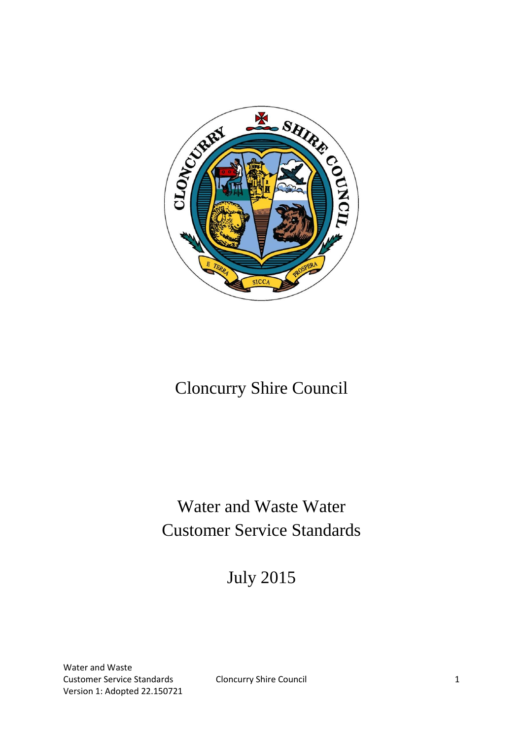

# Cloncurry Shire Council

# Water and Waste Water Customer Service Standards

July 2015

Water and Waste Customer Service Standards Cloncurry Shire Council 1 Version 1: Adopted 22.150721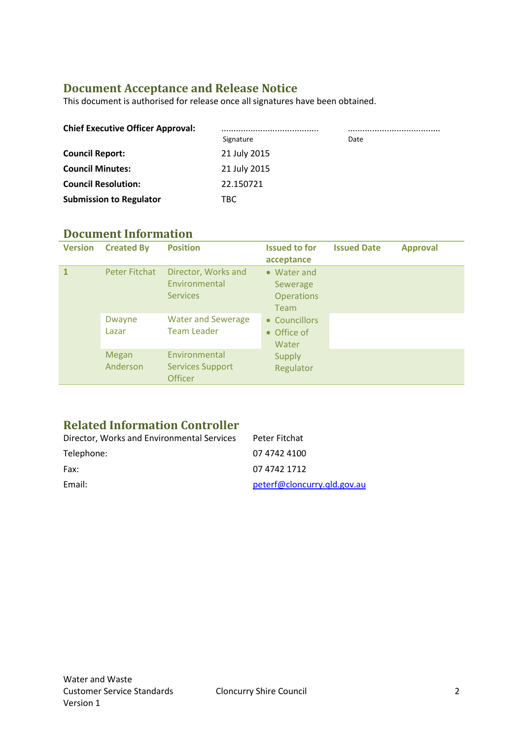## **Document Acceptance and Release Notice**

This document is authorised for release once all signatures have been obtained.

| <b>Chief Executive Officer Approval:</b> |              |      |
|------------------------------------------|--------------|------|
|                                          | Signature    | Date |
| <b>Council Report:</b>                   | 21 July 2015 |      |
| <b>Council Minutes:</b>                  | 21 July 2015 |      |
| <b>Council Resolution:</b>               | 22.150721    |      |
| <b>Submission to Regulator</b>           | TBC.         |      |

## **Document Information**

| <b>Version</b> | <b>Created By</b>        | <b>Position</b>                                            | <b>Issued to for</b><br>acceptance                          | <b>Issued Date</b> | <b>Approval</b> |
|----------------|--------------------------|------------------------------------------------------------|-------------------------------------------------------------|--------------------|-----------------|
|                | Peter Fitchat            | Director, Works and<br>Environmental<br><b>Services</b>    | • Water and<br>Sewerage<br><b>Operations</b><br><b>Team</b> |                    |                 |
|                | Dwayne<br>Lazar          | <b>Water and Sewerage</b><br><b>Team Leader</b>            | • Councillors<br>• Office of<br>Water                       |                    |                 |
|                | <b>Megan</b><br>Anderson | Environmental<br><b>Services Support</b><br><b>Officer</b> | <b>Supply</b><br>Regulator                                  |                    |                 |

## **Related Information Controller**

| Director, Works and Environmental Services | Peter Fitchat               |
|--------------------------------------------|-----------------------------|
| Telephone:                                 | 07 4742 4100                |
| Fax:                                       | 07 4742 1712                |
| Email:                                     | peterf@cloncurry.qld.gov.au |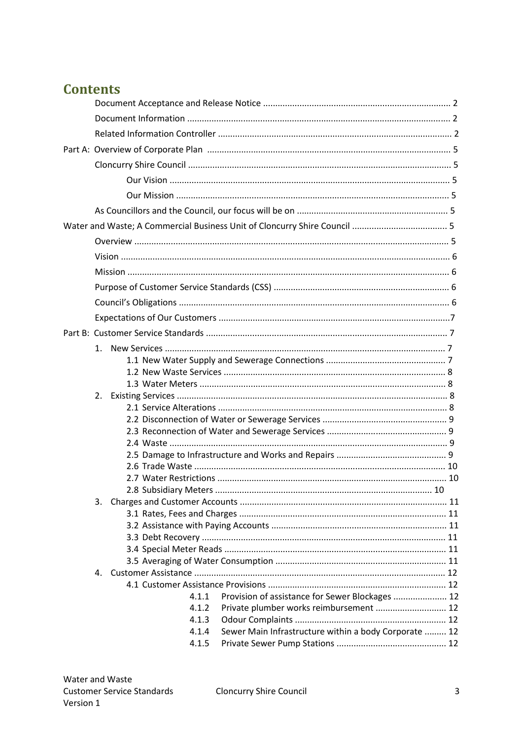## **Contents**

|  | 4.1.1 | Provision of assistance for Sewer Blockages  12       |  |
|--|-------|-------------------------------------------------------|--|
|  | 4.1.2 | Private plumber works reimbursement  12               |  |
|  | 4.1.3 |                                                       |  |
|  | 4.1.4 | Sewer Main Infrastructure within a body Corporate  12 |  |
|  | 4.1.5 |                                                       |  |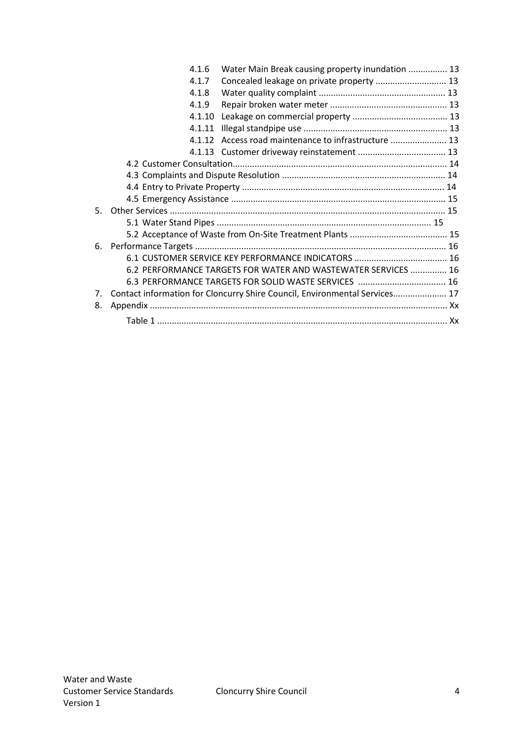|    | 4.1.6  | Water Main Break causing property inundation  13                           |  |
|----|--------|----------------------------------------------------------------------------|--|
|    | 4.1.7  | Concealed leakage on private property  13                                  |  |
|    | 4.1.8  |                                                                            |  |
|    | 4.1.9  |                                                                            |  |
|    | 4.1.10 |                                                                            |  |
|    | 4.1.11 |                                                                            |  |
|    |        |                                                                            |  |
|    |        |                                                                            |  |
|    |        |                                                                            |  |
|    |        |                                                                            |  |
|    |        |                                                                            |  |
|    |        |                                                                            |  |
| 5. |        |                                                                            |  |
|    |        |                                                                            |  |
|    |        |                                                                            |  |
|    |        |                                                                            |  |
|    |        |                                                                            |  |
|    |        | 6.2 PERFORMANCE TARGETS FOR WATER AND WASTEWATER SERVICES  16              |  |
|    |        | 6.3 PERFORMANCE TARGETS FOR SOLID WASTE SERVICES  16                       |  |
| 7. |        | Contact information for Cloncurry Shire Council, Environmental Services 17 |  |
| 8. |        |                                                                            |  |
|    |        |                                                                            |  |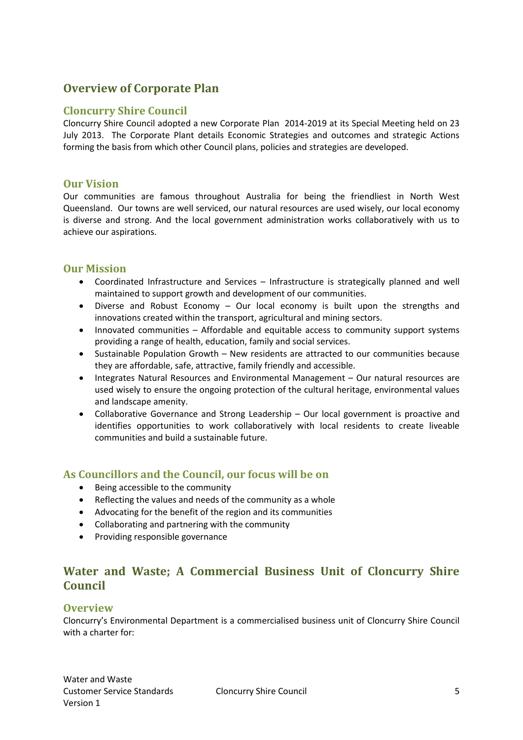## **Overview of Corporate Plan**

#### **Cloncurry Shire Council**

Cloncurry Shire Council adopted a new Corporate Plan 2014-2019 at its Special Meeting held on 23 July 2013. The Corporate Plant details Economic Strategies and outcomes and strategic Actions forming the basis from which other Council plans, policies and strategies are developed.

#### **Our Vision**

Our communities are famous throughout Australia for being the friendliest in North West Queensland. Our towns are well serviced, our natural resources are used wisely, our local economy is diverse and strong. And the local government administration works collaboratively with us to achieve our aspirations.

#### **Our Mission**

- Coordinated Infrastructure and Services Infrastructure is strategically planned and well maintained to support growth and development of our communities.
- Diverse and Robust Economy Our local economy is built upon the strengths and innovations created within the transport, agricultural and mining sectors.
- Innovated communities Affordable and equitable access to community support systems providing a range of health, education, family and social services.
- Sustainable Population Growth New residents are attracted to our communities because they are affordable, safe, attractive, family friendly and accessible.
- Integrates Natural Resources and Environmental Management Our natural resources are used wisely to ensure the ongoing protection of the cultural heritage, environmental values and landscape amenity.
- Collaborative Governance and Strong Leadership Our local government is proactive and identifies opportunities to work collaboratively with local residents to create liveable communities and build a sustainable future.

#### **As Councillors and the Council, our focus will be on**

- Being accessible to the community
- Reflecting the values and needs of the community as a whole
- Advocating for the benefit of the region and its communities
- Collaborating and partnering with the community
- Providing responsible governance

## **Water and Waste; A Commercial Business Unit of Cloncurry Shire Council**

#### **Overview**

Cloncurry's Environmental Department is a commercialised business unit of Cloncurry Shire Council with a charter for: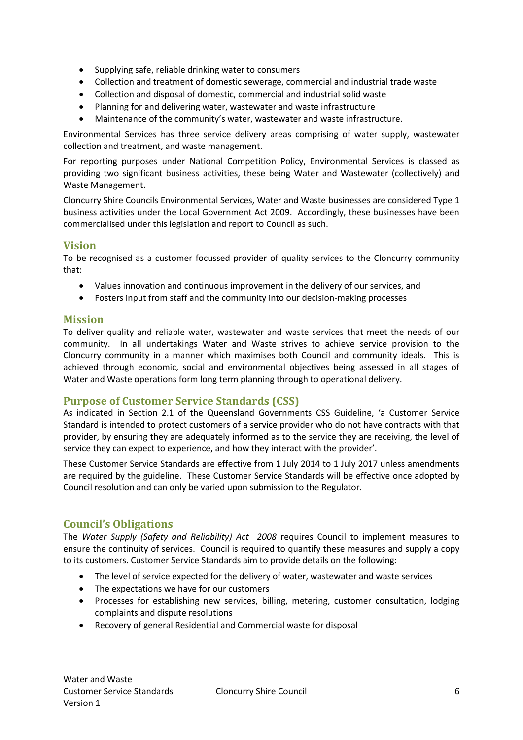- Supplying safe, reliable drinking water to consumers
- Collection and treatment of domestic sewerage, commercial and industrial trade waste
- Collection and disposal of domestic, commercial and industrial solid waste
- Planning for and delivering water, wastewater and waste infrastructure
- Maintenance of the community's water, wastewater and waste infrastructure.

Environmental Services has three service delivery areas comprising of water supply, wastewater collection and treatment, and waste management.

For reporting purposes under National Competition Policy, Environmental Services is classed as providing two significant business activities, these being Water and Wastewater (collectively) and Waste Management.

Cloncurry Shire Councils Environmental Services, Water and Waste businesses are considered Type 1 business activities under the Local Government Act 2009. Accordingly, these businesses have been commercialised under this legislation and report to Council as such.

#### **Vision**

To be recognised as a customer focussed provider of quality services to the Cloncurry community that:

- Values innovation and continuous improvement in the delivery of our services, and
- Fosters input from staff and the community into our decision-making processes

#### **Mission**

To deliver quality and reliable water, wastewater and waste services that meet the needs of our community. In all undertakings Water and Waste strives to achieve service provision to the Cloncurry community in a manner which maximises both Council and community ideals. This is achieved through economic, social and environmental objectives being assessed in all stages of Water and Waste operations form long term planning through to operational delivery.

## **Purpose of Customer Service Standards (CSS)**

As indicated in Section 2.1 of the Queensland Governments CSS Guideline, 'a Customer Service Standard is intended to protect customers of a service provider who do not have contracts with that provider, by ensuring they are adequately informed as to the service they are receiving, the level of service they can expect to experience, and how they interact with the provider'.

These Customer Service Standards are effective from 1 July 2014 to 1 July 2017 unless amendments are required by the guideline. These Customer Service Standards will be effective once adopted by Council resolution and can only be varied upon submission to the Regulator.

## **Council's Obligations**

The *Water Supply (Safety and Reliability) Act 2008* requires Council to implement measures to ensure the continuity of services. Council is required to quantify these measures and supply a copy to its customers. Customer Service Standards aim to provide details on the following:

- The level of service expected for the delivery of water, wastewater and waste services
- The expectations we have for our customers
- Processes for establishing new services, billing, metering, customer consultation, lodging complaints and dispute resolutions
- Recovery of general Residential and Commercial waste for disposal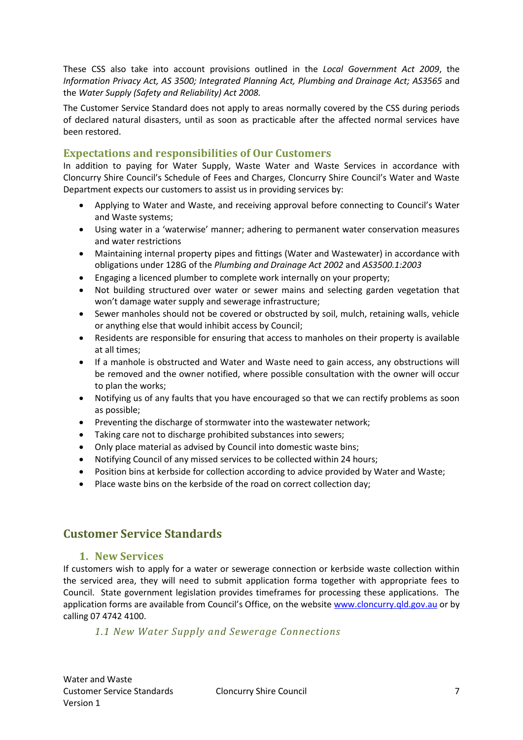These CSS also take into account provisions outlined in the *Local Government Act 2009*, the *Information Privacy Act, AS 3500; Integrated Planning Act, Plumbing and Drainage Act; AS3565* and the *Water Supply (Safety and Reliability) Act 2008.*

The Customer Service Standard does not apply to areas normally covered by the CSS during periods of declared natural disasters, until as soon as practicable after the affected normal services have been restored.

## **Expectations and responsibilities of Our Customers**

In addition to paying for Water Supply, Waste Water and Waste Services in accordance with Cloncurry Shire Council's Schedule of Fees and Charges, Cloncurry Shire Council's Water and Waste Department expects our customers to assist us in providing services by:

- Applying to Water and Waste, and receiving approval before connecting to Council's Water and Waste systems;
- Using water in a 'waterwise' manner; adhering to permanent water conservation measures and water restrictions
- Maintaining internal property pipes and fittings (Water and Wastewater) in accordance with obligations under 128G of the *Plumbing and Drainage Act 2002* and *AS3500.1:2003*
- Engaging a licenced plumber to complete work internally on your property;
- Not building structured over water or sewer mains and selecting garden vegetation that won't damage water supply and sewerage infrastructure;
- Sewer manholes should not be covered or obstructed by soil, mulch, retaining walls, vehicle or anything else that would inhibit access by Council;
- Residents are responsible for ensuring that access to manholes on their property is available at all times;
- If a manhole is obstructed and Water and Waste need to gain access, any obstructions will be removed and the owner notified, where possible consultation with the owner will occur to plan the works;
- Notifying us of any faults that you have encouraged so that we can rectify problems as soon as possible;
- Preventing the discharge of stormwater into the wastewater network;
- Taking care not to discharge prohibited substances into sewers;
- Only place material as advised by Council into domestic waste bins;
- Notifying Council of any missed services to be collected within 24 hours;
- Position bins at kerbside for collection according to advice provided by Water and Waste;
- Place waste bins on the kerbside of the road on correct collection day;

## **Customer Service Standards**

#### **1. New Services**

If customers wish to apply for a water or sewerage connection or kerbside waste collection within the serviced area, they will need to submit application forma together with appropriate fees to Council. State government legislation provides timeframes for processing these applications. The application forms are available from Council's Office, on the website [www.cloncurry.qld.gov.au](http://www.cloncurry.qld.gov.au/) or by calling 07 4742 4100.

#### *1.1 New Water Supply and Sewerage Connections*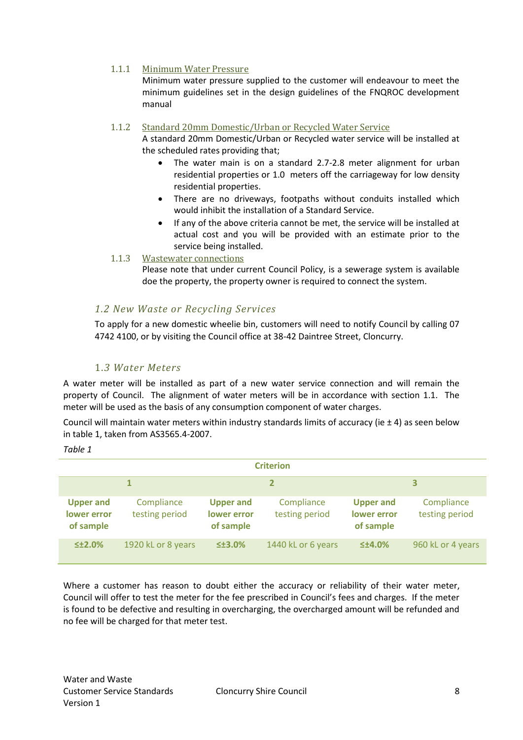#### 1.1.1 Minimum Water Pressure

Minimum water pressure supplied to the customer will endeavour to meet the minimum guidelines set in the design guidelines of the FNQROC development manual

#### 1.1.2 Standard 20mm Domestic/Urban or Recycled Water Service

A standard 20mm Domestic/Urban or Recycled water service will be installed at the scheduled rates providing that;

- The water main is on a standard 2.7-2.8 meter alignment for urban residential properties or 1.0 meters off the carriageway for low density residential properties.
- There are no driveways, footpaths without conduits installed which would inhibit the installation of a Standard Service.
- If any of the above criteria cannot be met, the service will be installed at actual cost and you will be provided with an estimate prior to the service being installed.

#### 1.1.3 Wastewater connections

Please note that under current Council Policy, is a sewerage system is available doe the property, the property owner is required to connect the system.

#### *1.2 New Waste or Recycling Services*

To apply for a new domestic wheelie bin, customers will need to notify Council by calling 07 4742 4100, or by visiting the Council office at 38-42 Daintree Street, Cloncurry.

#### 1.*3 Water Meters*

A water meter will be installed as part of a new water service connection and will remain the property of Council. The alignment of water meters will be in accordance with section 1.1. The meter will be used as the basis of any consumption component of water charges.

Council will maintain water meters within industry standards limits of accuracy (ie  $\pm$  4) as seen below in table 1, taken from AS3565.4-2007.

*Table 1*

| <b>Criterion</b>                             |                              |                                              |                              |                                              |                              |
|----------------------------------------------|------------------------------|----------------------------------------------|------------------------------|----------------------------------------------|------------------------------|
|                                              |                              |                                              |                              |                                              | 3                            |
| <b>Upper and</b><br>lower error<br>of sample | Compliance<br>testing period | <b>Upper and</b><br>lower error<br>of sample | Compliance<br>testing period | <b>Upper and</b><br>lower error<br>of sample | Compliance<br>testing period |
| 512.0%                                       | 1920 kL or 8 years           | $513.0\%$                                    | 1440 kL or 6 years           | $54.0\%$                                     | 960 kL or 4 years            |

Where a customer has reason to doubt either the accuracy or reliability of their water meter, Council will offer to test the meter for the fee prescribed in Council's fees and charges. If the meter is found to be defective and resulting in overcharging, the overcharged amount will be refunded and no fee will be charged for that meter test.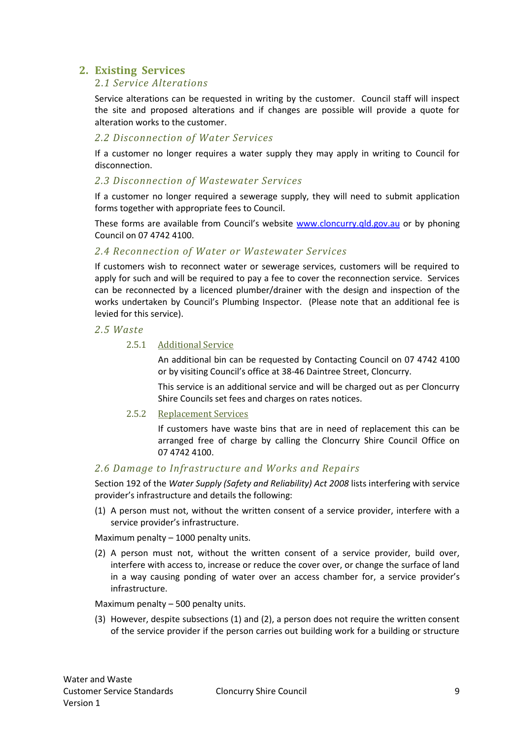## **2. Existing Services**

#### 2.*1 Service Alterations*

Service alterations can be requested in writing by the customer. Council staff will inspect the site and proposed alterations and if changes are possible will provide a quote for alteration works to the customer.

#### *2.2 Disconnection of Water Services*

If a customer no longer requires a water supply they may apply in writing to Council for disconnection.

#### *2.3 Disconnection of Wastewater Services*

If a customer no longer required a sewerage supply, they will need to submit application forms together with appropriate fees to Council.

These forms are available from Council's website [www.cloncurry.qld.gov.au](http://www.cloncurry.qld.gov.au/) or by phoning Council on 07 4742 4100.

#### *2.4 Reconnection of Water or Wastewater Services*

If customers wish to reconnect water or sewerage services, customers will be required to apply for such and will be required to pay a fee to cover the reconnection service. Services can be reconnected by a licenced plumber/drainer with the design and inspection of the works undertaken by Council's Plumbing Inspector. (Please note that an additional fee is levied for this service).

#### *2.5 Waste*

#### 2.5.1 Additional Service

An additional bin can be requested by Contacting Council on 07 4742 4100 or by visiting Council's office at 38-46 Daintree Street, Cloncurry.

This service is an additional service and will be charged out as per Cloncurry Shire Councils set fees and charges on rates notices.

#### 2.5.2 Replacement Services

If customers have waste bins that are in need of replacement this can be arranged free of charge by calling the Cloncurry Shire Council Office on 07 4742 4100.

#### *2.6 Damage to Infrastructure and Works and Repairs*

Section 192 of the *Water Supply (Safety and Reliability) Act 2008* lists interfering with service provider's infrastructure and details the following:

(1) A person must not, without the written consent of a service provider, interfere with a service provider's infrastructure.

Maximum penalty – 1000 penalty units.

(2) A person must not, without the written consent of a service provider, build over, interfere with access to, increase or reduce the cover over, or change the surface of land in a way causing ponding of water over an access chamber for, a service provider's infrastructure.

Maximum penalty – 500 penalty units.

(3) However, despite subsections (1) and (2), a person does not require the written consent of the service provider if the person carries out building work for a building or structure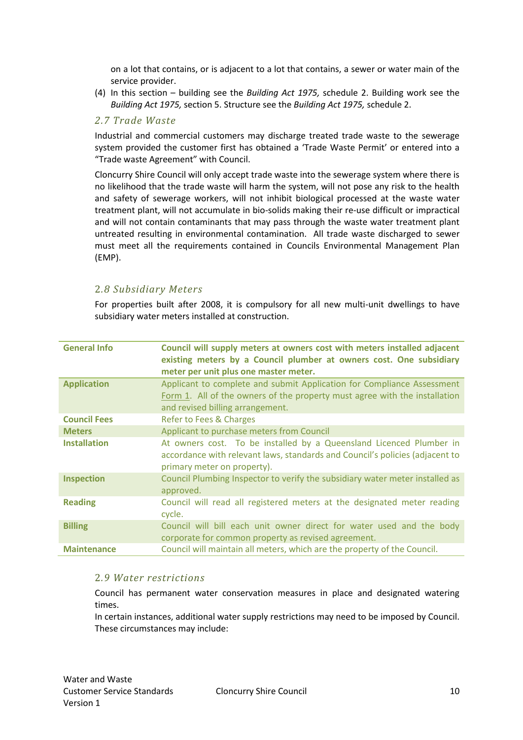on a lot that contains, or is adjacent to a lot that contains, a sewer or water main of the service provider.

(4) In this section – building see the *Building Act 1975,* schedule 2. Building work see the *Building Act 1975,* section 5. Structure see the *Building Act 1975,* schedule 2.

#### *2.7 Trade Waste*

Industrial and commercial customers may discharge treated trade waste to the sewerage system provided the customer first has obtained a 'Trade Waste Permit' or entered into a "Trade waste Agreement" with Council.

Cloncurry Shire Council will only accept trade waste into the sewerage system where there is no likelihood that the trade waste will harm the system, will not pose any risk to the health and safety of sewerage workers, will not inhibit biological processed at the waste water treatment plant, will not accumulate in bio-solids making their re-use difficult or impractical and will not contain contaminants that may pass through the waste water treatment plant untreated resulting in environmental contamination. All trade waste discharged to sewer must meet all the requirements contained in Councils Environmental Management Plan (EMP).

### 2*.8 Subsidiary Meters*

For properties built after 2008, it is compulsory for all new multi-unit dwellings to have subsidiary water meters installed at construction.

| <b>General Info</b> | Council will supply meters at owners cost with meters installed adjacent<br>existing meters by a Council plumber at owners cost. One subsidiary<br>meter per unit plus one master meter. |
|---------------------|------------------------------------------------------------------------------------------------------------------------------------------------------------------------------------------|
| <b>Application</b>  | Applicant to complete and submit Application for Compliance Assessment<br>Form 1. All of the owners of the property must agree with the installation<br>and revised billing arrangement. |
| <b>Council Fees</b> | Refer to Fees & Charges                                                                                                                                                                  |
| <b>Meters</b>       | Applicant to purchase meters from Council                                                                                                                                                |
| <b>Installation</b> | At owners cost. To be installed by a Queensland Licenced Plumber in<br>accordance with relevant laws, standards and Council's policies (adjacent to<br>primary meter on property).       |
| <b>Inspection</b>   | Council Plumbing Inspector to verify the subsidiary water meter installed as<br>approved.                                                                                                |
| <b>Reading</b>      | Council will read all registered meters at the designated meter reading<br>cycle.                                                                                                        |
| <b>Billing</b>      | Council will bill each unit owner direct for water used and the body<br>corporate for common property as revised agreement.                                                              |
| <b>Maintenance</b>  | Council will maintain all meters, which are the property of the Council.                                                                                                                 |

#### 2*.9 Water restrictions*

Council has permanent water conservation measures in place and designated watering times.

In certain instances, additional water supply restrictions may need to be imposed by Council. These circumstances may include: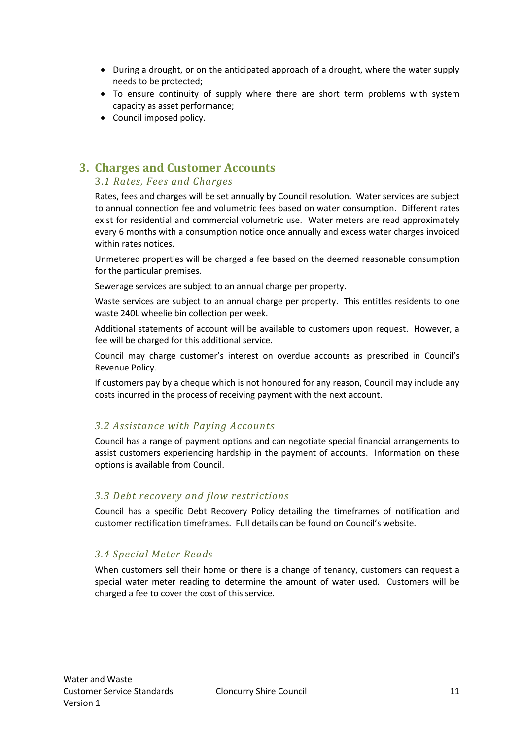- During a drought, or on the anticipated approach of a drought, where the water supply needs to be protected;
- To ensure continuity of supply where there are short term problems with system capacity as asset performance;
- Council imposed policy.

## **3. Charges and Customer Accounts**

#### 3.*1 Rates, Fees and Charges*

Rates, fees and charges will be set annually by Council resolution. Water services are subject to annual connection fee and volumetric fees based on water consumption. Different rates exist for residential and commercial volumetric use. Water meters are read approximately every 6 months with a consumption notice once annually and excess water charges invoiced within rates notices.

Unmetered properties will be charged a fee based on the deemed reasonable consumption for the particular premises.

Sewerage services are subject to an annual charge per property.

Waste services are subject to an annual charge per property. This entitles residents to one waste 240L wheelie bin collection per week.

Additional statements of account will be available to customers upon request. However, a fee will be charged for this additional service.

Council may charge customer's interest on overdue accounts as prescribed in Council's Revenue Policy.

If customers pay by a cheque which is not honoured for any reason, Council may include any costs incurred in the process of receiving payment with the next account.

## *3.2 Assistance with Paying Accounts*

Council has a range of payment options and can negotiate special financial arrangements to assist customers experiencing hardship in the payment of accounts. Information on these options is available from Council.

#### *3.3 Debt recovery and flow restrictions*

Council has a specific Debt Recovery Policy detailing the timeframes of notification and customer rectification timeframes. Full details can be found on Council's website.

#### *3.4 Special Meter Reads*

When customers sell their home or there is a change of tenancy, customers can request a special water meter reading to determine the amount of water used. Customers will be charged a fee to cover the cost of this service.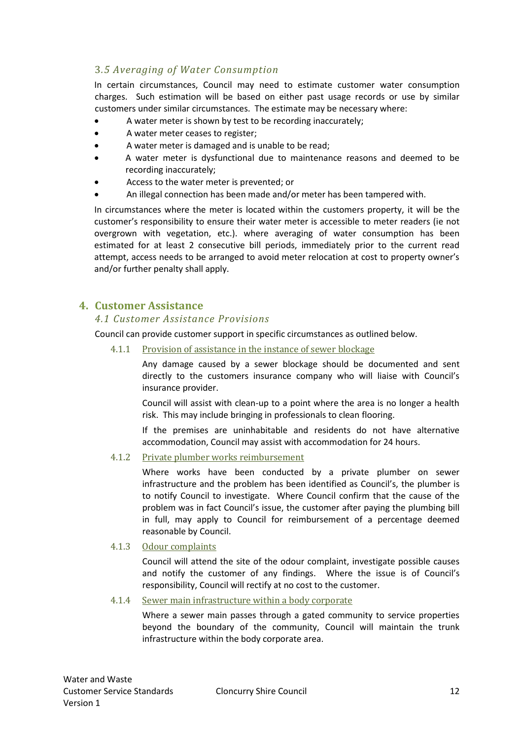## 3*.5 Averaging of Water Consumption*

In certain circumstances, Council may need to estimate customer water consumption charges. Such estimation will be based on either past usage records or use by similar customers under similar circumstances. The estimate may be necessary where:

- A water meter is shown by test to be recording inaccurately;
- A water meter ceases to register;
- A water meter is damaged and is unable to be read;
- A water meter is dysfunctional due to maintenance reasons and deemed to be recording inaccurately;
- Access to the water meter is prevented; or
- An illegal connection has been made and/or meter has been tampered with.

In circumstances where the meter is located within the customers property, it will be the customer's responsibility to ensure their water meter is accessible to meter readers (ie not overgrown with vegetation, etc.). where averaging of water consumption has been estimated for at least 2 consecutive bill periods, immediately prior to the current read attempt, access needs to be arranged to avoid meter relocation at cost to property owner's and/or further penalty shall apply.

## **4. Customer Assistance**

#### *4.1 Customer Assistance Provisions*

Council can provide customer support in specific circumstances as outlined below.

4.1.1 Provision of assistance in the instance of sewer blockage

Any damage caused by a sewer blockage should be documented and sent directly to the customers insurance company who will liaise with Council's insurance provider.

Council will assist with clean-up to a point where the area is no longer a health risk. This may include bringing in professionals to clean flooring.

If the premises are uninhabitable and residents do not have alternative accommodation, Council may assist with accommodation for 24 hours.

#### 4.1.2 Private plumber works reimbursement

Where works have been conducted by a private plumber on sewer infrastructure and the problem has been identified as Council's, the plumber is to notify Council to investigate. Where Council confirm that the cause of the problem was in fact Council's issue, the customer after paying the plumbing bill in full, may apply to Council for reimbursement of a percentage deemed reasonable by Council.

#### 4.1.3 Odour complaints

Council will attend the site of the odour complaint, investigate possible causes and notify the customer of any findings. Where the issue is of Council's responsibility, Council will rectify at no cost to the customer.

4.1.4 Sewer main infrastructure within a body corporate

Where a sewer main passes through a gated community to service properties beyond the boundary of the community, Council will maintain the trunk infrastructure within the body corporate area.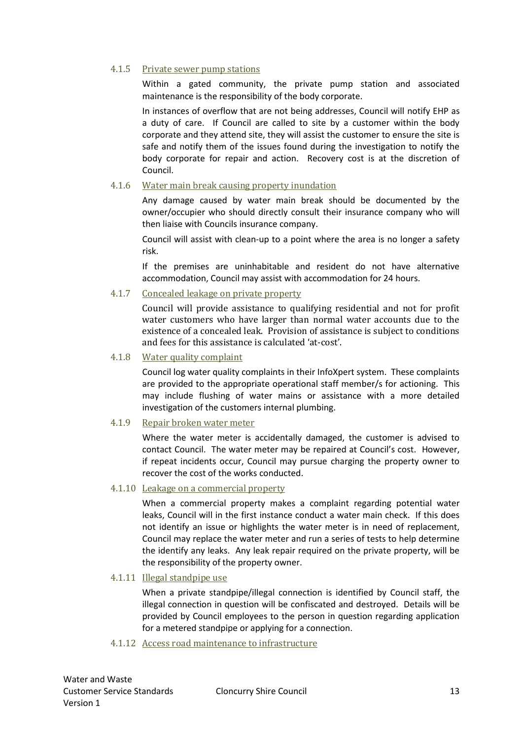#### 4.1.5 Private sewer pump stations

Within a gated community, the private pump station and associated maintenance is the responsibility of the body corporate.

In instances of overflow that are not being addresses, Council will notify EHP as a duty of care. If Council are called to site by a customer within the body corporate and they attend site, they will assist the customer to ensure the site is safe and notify them of the issues found during the investigation to notify the body corporate for repair and action. Recovery cost is at the discretion of Council.

#### 4.1.6 Water main break causing property inundation

Any damage caused by water main break should be documented by the owner/occupier who should directly consult their insurance company who will then liaise with Councils insurance company.

Council will assist with clean-up to a point where the area is no longer a safety risk.

If the premises are uninhabitable and resident do not have alternative accommodation, Council may assist with accommodation for 24 hours.

#### 4.1.7 Concealed leakage on private property

Council will provide assistance to qualifying residential and not for profit water customers who have larger than normal water accounts due to the existence of a concealed leak. Provision of assistance is subject to conditions and fees for this assistance is calculated 'at-cost'.

#### 4.1.8 Water quality complaint

Council log water quality complaints in their InfoXpert system. These complaints are provided to the appropriate operational staff member/s for actioning. This may include flushing of water mains or assistance with a more detailed investigation of the customers internal plumbing.

#### 4.1.9 Repair broken water meter

Where the water meter is accidentally damaged, the customer is advised to contact Council. The water meter may be repaired at Council's cost. However, if repeat incidents occur, Council may pursue charging the property owner to recover the cost of the works conducted.

#### 4.1.10 Leakage on a commercial property

When a commercial property makes a complaint regarding potential water leaks, Council will in the first instance conduct a water main check. If this does not identify an issue or highlights the water meter is in need of replacement, Council may replace the water meter and run a series of tests to help determine the identify any leaks. Any leak repair required on the private property, will be the responsibility of the property owner.

#### 4.1.11 Illegal standpipe use

When a private standpipe/illegal connection is identified by Council staff, the illegal connection in question will be confiscated and destroyed. Details will be provided by Council employees to the person in question regarding application for a metered standpipe or applying for a connection.

#### 4.1.12 Access road maintenance to infrastructure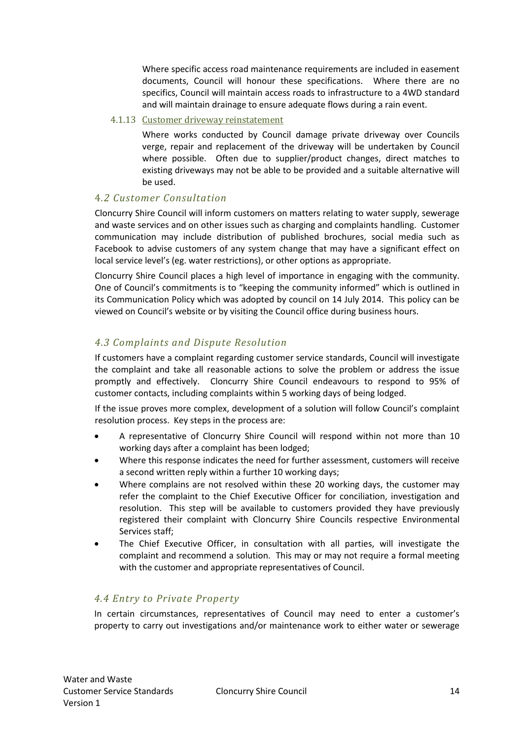Where specific access road maintenance requirements are included in easement documents, Council will honour these specifications. Where there are no specifics, Council will maintain access roads to infrastructure to a 4WD standard and will maintain drainage to ensure adequate flows during a rain event.

#### 4.1.13 Customer driveway reinstatement

Where works conducted by Council damage private driveway over Councils verge, repair and replacement of the driveway will be undertaken by Council where possible. Often due to supplier/product changes, direct matches to existing driveways may not be able to be provided and a suitable alternative will be used.

### 4*.2 Customer Consultation*

Cloncurry Shire Council will inform customers on matters relating to water supply, sewerage and waste services and on other issues such as charging and complaints handling. Customer communication may include distribution of published brochures, social media such as Facebook to advise customers of any system change that may have a significant effect on local service level's (eg. water restrictions), or other options as appropriate.

Cloncurry Shire Council places a high level of importance in engaging with the community. One of Council's commitments is to "keeping the community informed" which is outlined in its Communication Policy which was adopted by council on 14 July 2014. This policy can be viewed on Council's website or by visiting the Council office during business hours.

## *4.3 Complaints and Dispute Resolution*

If customers have a complaint regarding customer service standards, Council will investigate the complaint and take all reasonable actions to solve the problem or address the issue promptly and effectively. Cloncurry Shire Council endeavours to respond to 95% of customer contacts, including complaints within 5 working days of being lodged.

If the issue proves more complex, development of a solution will follow Council's complaint resolution process. Key steps in the process are:

- A representative of Cloncurry Shire Council will respond within not more than 10 working days after a complaint has been lodged;
- Where this response indicates the need for further assessment, customers will receive a second written reply within a further 10 working days;
- Where complains are not resolved within these 20 working days, the customer may refer the complaint to the Chief Executive Officer for conciliation, investigation and resolution. This step will be available to customers provided they have previously registered their complaint with Cloncurry Shire Councils respective Environmental Services staff;
- The Chief Executive Officer, in consultation with all parties, will investigate the complaint and recommend a solution. This may or may not require a formal meeting with the customer and appropriate representatives of Council.

#### *4.4 Entry to Private Property*

In certain circumstances, representatives of Council may need to enter a customer's property to carry out investigations and/or maintenance work to either water or sewerage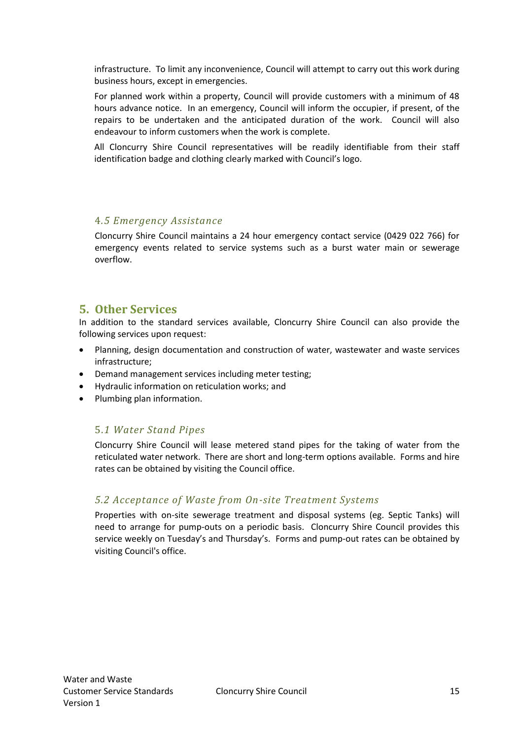infrastructure. To limit any inconvenience, Council will attempt to carry out this work during business hours, except in emergencies.

For planned work within a property, Council will provide customers with a minimum of 48 hours advance notice. In an emergency, Council will inform the occupier, if present, of the repairs to be undertaken and the anticipated duration of the work. Council will also endeavour to inform customers when the work is complete.

All Cloncurry Shire Council representatives will be readily identifiable from their staff identification badge and clothing clearly marked with Council's logo.

#### 4*.5 Emergency Assistance*

Cloncurry Shire Council maintains a 24 hour emergency contact service (0429 022 766) for emergency events related to service systems such as a burst water main or sewerage overflow.

## **5. Other Services**

In addition to the standard services available, Cloncurry Shire Council can also provide the following services upon request:

- Planning, design documentation and construction of water, wastewater and waste services infrastructure;
- Demand management services including meter testing;
- Hydraulic information on reticulation works; and
- Plumbing plan information.

## 5.*1 Water Stand Pipes*

Cloncurry Shire Council will lease metered stand pipes for the taking of water from the reticulated water network. There are short and long-term options available. Forms and hire rates can be obtained by visiting the Council office.

## *5.2 Acceptance of Waste from On-site Treatment Systems*

Properties with on-site sewerage treatment and disposal systems (eg. Septic Tanks) will need to arrange for pump-outs on a periodic basis. Cloncurry Shire Council provides this service weekly on Tuesday's and Thursday's. Forms and pump-out rates can be obtained by visiting Council's office.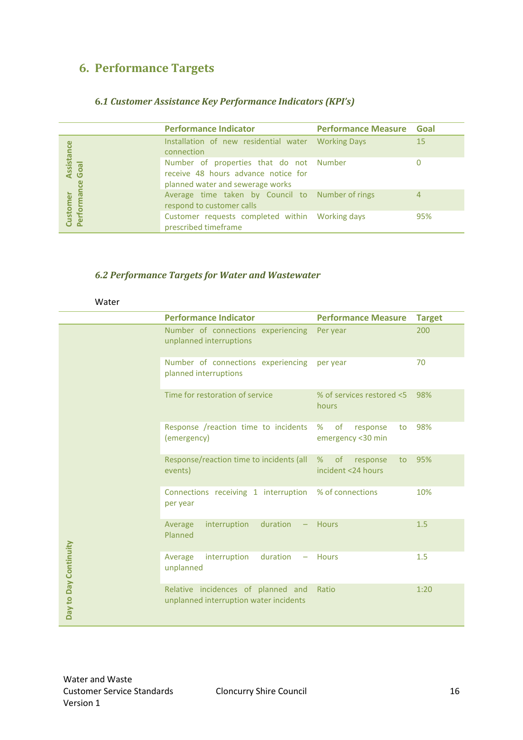## **6. Performance Targets**

#### **6.***1 Customer Assistance Key Performance Indicators (KPI's)*

|                         | <b>Performance Indicator</b>                                                                                       | <b>Performance Measure Goal</b> |     |
|-------------------------|--------------------------------------------------------------------------------------------------------------------|---------------------------------|-----|
|                         | Installation of new residential water Working Days<br>connection                                                   |                                 | 15  |
| Assistance<br>Goal<br>ဗ | Number of properties that do not Number<br>receive 48 hours advance notice for<br>planned water and sewerage works |                                 |     |
| Performa<br>Customer    | Average time taken by Council to Number of rings<br>respond to customer calls                                      |                                 | 4   |
|                         | Customer requests completed within Working days<br>prescribed timeframe                                            |                                 | 95% |

#### *6.2 Performance Targets for Water and Wastewater*

|                       | <b>Performance Indicator</b>                                                 | <b>Performance Measure</b>                             | <b>Target</b> |
|-----------------------|------------------------------------------------------------------------------|--------------------------------------------------------|---------------|
|                       | Number of connections experiencing<br>unplanned interruptions                | Per year                                               | 200           |
|                       | Number of connections experiencing<br>planned interruptions                  | per year                                               | 70            |
|                       | Time for restoration of service                                              | % of services restored <5<br>hours                     | 98%           |
| Day to Day Continuity | Response /reaction time to incidents<br>(emergency)                          | %<br><b>of</b><br>response<br>to<br>emergency <30 min  | 98%           |
|                       | Response/reaction time to incidents (all<br>events)                          | $\circ$ f<br>%<br>response<br>to<br>incident <24 hours | 95%           |
|                       | Connections receiving 1 interruption<br>per year                             | % of connections                                       | 10%           |
|                       | Average<br>interruption<br>duration<br>Planned                               | <b>Hours</b>                                           | 1.5           |
|                       | interruption<br>duration<br>Average<br>unplanned                             | <b>Hours</b>                                           | 1.5           |
|                       | Relative incidences of planned and<br>unplanned interruption water incidents | Ratio                                                  | 1:20          |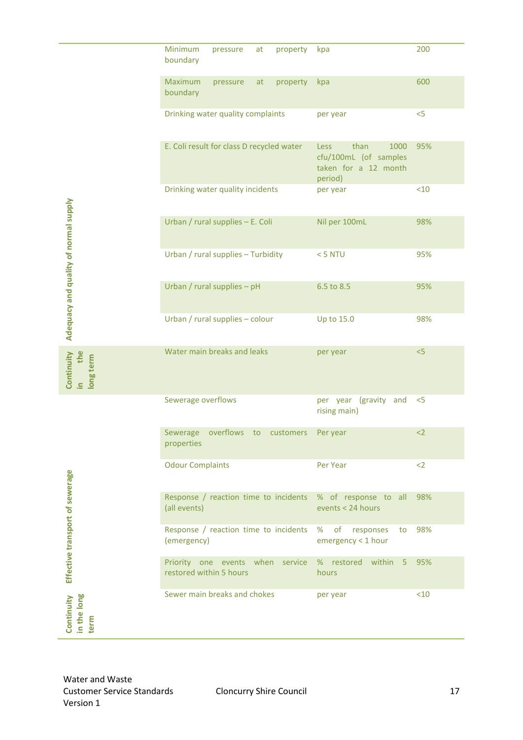|                                                                   | Minimum<br>pressure<br>boundary                             | at | property                       | kpa                                                                                     | 200   |
|-------------------------------------------------------------------|-------------------------------------------------------------|----|--------------------------------|-----------------------------------------------------------------------------------------|-------|
|                                                                   | Maximum<br>pressure<br>boundary                             | at | property                       | kpa                                                                                     | 600   |
|                                                                   | Drinking water quality complaints                           |    |                                | per year                                                                                | $<$ 5 |
|                                                                   | E. Coli result for class D recycled water                   |    |                                | than<br>1000<br><b>Less</b><br>cfu/100mL (of samples<br>taken for a 12 month<br>period) | 95%   |
|                                                                   | Drinking water quality incidents                            |    |                                | per year                                                                                | <10   |
| Adequacy and quality of normal supply                             | Urban / rural supplies - E. Coli                            |    |                                | Nil per 100mL                                                                           | 98%   |
|                                                                   | Urban / rural supplies - Turbidity                          |    |                                | $<$ 5 NTU                                                                               | 95%   |
|                                                                   | Urban / rural supplies - pH                                 |    |                                | 6.5 to 8.5                                                                              | 95%   |
|                                                                   | Urban / rural supplies - colour                             |    |                                | Up to 15.0                                                                              | 98%   |
| Continuity<br>the<br>long term<br>$\equiv$                        | Water main breaks and leaks                                 |    |                                | per year                                                                                | < 5   |
|                                                                   | Sewerage overflows                                          |    |                                | per year (gravity and<br>rising main)                                                   | $<$ 5 |
|                                                                   | Sewerage overflows to customers Peryear<br>properties       |    |                                |                                                                                         | $2$   |
|                                                                   | <b>Odour Complaints</b>                                     |    |                                | Per Year                                                                                | $2$   |
| Effective transport of sewerage                                   | (all events)                                                |    |                                | Response / reaction time to incidents % of response to all<br>events < 24 hours         | 98%   |
|                                                                   | Response / reaction time to incidents %<br>(emergency)      |    |                                | of<br>responses<br>to<br>emergency < 1 hour                                             | 98%   |
|                                                                   | Priority one events when service<br>restored within 5 hours |    |                                | % restored within 5<br>hours                                                            | 95%   |
| Continuity<br>in the long<br>term                                 | Sewer main breaks and chokes                                |    |                                | per year                                                                                | <10   |
|                                                                   |                                                             |    |                                |                                                                                         |       |
| Water and Waste<br><b>Customer Service Standards</b><br>Version 1 |                                                             |    | <b>Cloncurry Shire Council</b> |                                                                                         | 17    |